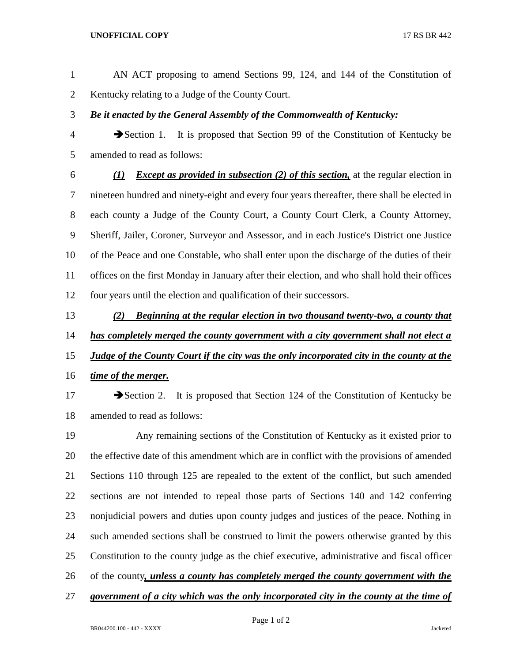## **UNOFFICIAL COPY** 17 RS BR 442

- AN ACT proposing to amend Sections 99, 124, and 144 of the Constitution of Kentucky relating to a Judge of the County Court.
- *Be it enacted by the General Assembly of the Commonwealth of Kentucky:*
- Section 1. It is proposed that Section 99 of the Constitution of Kentucky be amended to read as follows:
- *(1) Except as provided in subsection (2) of this section,* at the regular election in nineteen hundred and ninety-eight and every four years thereafter, there shall be elected in each county a Judge of the County Court, a County Court Clerk, a County Attorney, Sheriff, Jailer, Coroner, Surveyor and Assessor, and in each Justice's District one Justice of the Peace and one Constable, who shall enter upon the discharge of the duties of their offices on the first Monday in January after their election, and who shall hold their offices four years until the election and qualification of their successors.
- *(2) Beginning at the regular election in two thousand twenty-two, a county that has completely merged the county government with a city government shall not elect a Judge of the County Court if the city was the only incorporated city in the county at the*
- *time of the merger.*

17 Section 2. It is proposed that Section 124 of the Constitution of Kentucky be amended to read as follows:

 Any remaining sections of the Constitution of Kentucky as it existed prior to the effective date of this amendment which are in conflict with the provisions of amended Sections 110 through 125 are repealed to the extent of the conflict, but such amended sections are not intended to repeal those parts of Sections 140 and 142 conferring nonjudicial powers and duties upon county judges and justices of the peace. Nothing in such amended sections shall be construed to limit the powers otherwise granted by this Constitution to the county judge as the chief executive, administrative and fiscal officer of the county*, unless a county has completely merged the county government with the* 

*government of a city which was the only incorporated city in the county at the time of*